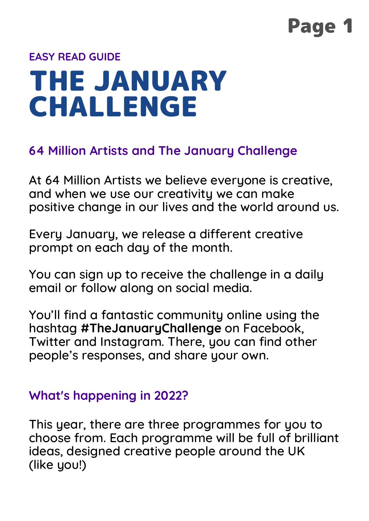### THE JANUARY CHALLENGE **EASY READ GUIDE**

#### **64 Million Artists and The January Challenge**

At 64 Million Artists we believe everyone is creative, and when we use our creativity we can make positive change in our lives and the world around us.

Every January, we release a different creative prompt on each day of the month.

You can sign up to receive the challenge in a daily email or follow along on social media.

You'll find a fantastic community online using the hashtag **#TheJanuaryChallenge** on [Facebook,](https://www.facebook.com/groups/1199043716842584) [Twitter](https://twitter.com/64M_Artists) and [Instagram](https://www.instagram.com/64millionartists/?hl=en). There, you can find other people's responses, and share your own.

#### **What's happening in 2022?**

This year, there are three programmes for you to choose from. Each programme will be full of brilliant ideas, designed creative people around the UK (like you!)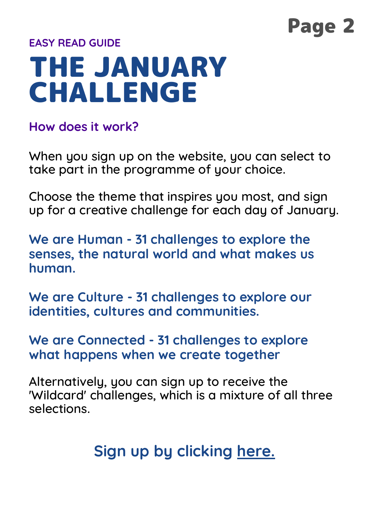### THE JANUARY CHALLENGE **EASY READ GUIDE**

#### **How does it work?**

When you sign up on the website, you can select to take part in the programme of your choice.

Choose the theme that inspires you most, and sign up for a creative challenge for each day of January.

**We are Human - 31 challenges to explore the senses, the natural world and what makes us human.**

**We are Culture - 31 challenges to explore our identities, cultures and communities.**

**We are Connected - 31 challenges to explore what happens when we create together**

Alternatively, you can sign up to receive the 'Wildcard' challenges, which is a mixture of all three selections.

### **Sign up by clicking [here.](https://mailchi.mp/64millionartists.com/2022)**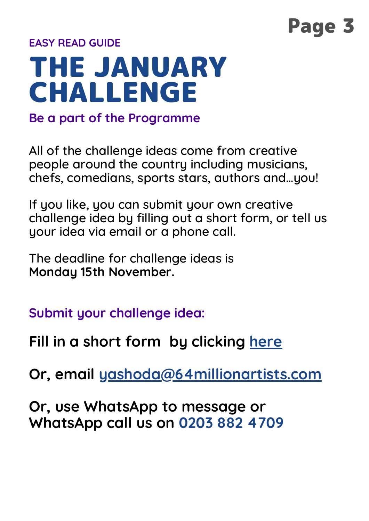**EASY READ GUIDE**

# THE JANUARY CHALLENGE

**Be a part of the Programme**

All of the challenge ideas come from creative people around the country including musicians, chefs, comedians, sports stars, authors and…you!

If you like, you can submit your own creative challenge idea by filling out a short form, or tell us your idea via email or a phone call.

The deadline for challenge ideas is **Monday 15th November.**

**Submit your challenge idea:**

**Fill in a short form by clicking [here](https://docs.google.com/forms/d/e/1FAIpQLSc5eG9FuVqa1HOWo_MECpc8pVH9xM1-r-G4AWoM9qFOK0Rlfg/viewform)**

**Or, email [yashoda@64millionartists.com](mailto:yashoda@64millionartists.com)**

**Or, use WhatsApp to message or WhatsApp call us on 0203 882 4709**